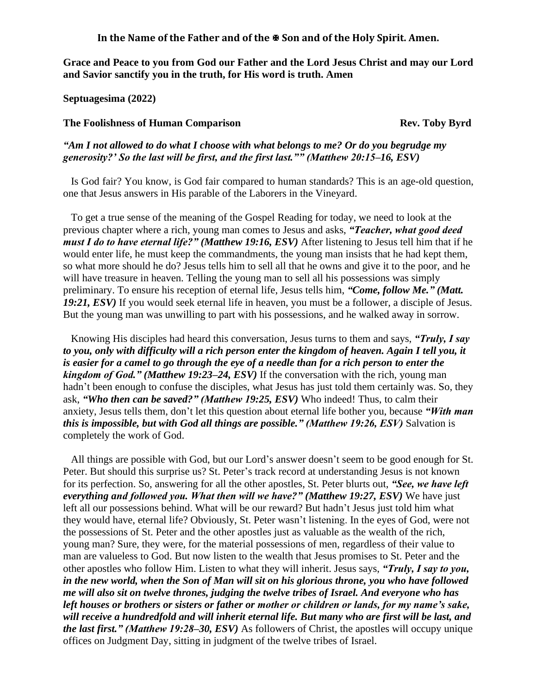In the Name of the Father and of the  $\Phi$  Son and of the Holy Spirit. Amen.

**Grace and Peace to you from God our Father and the Lord Jesus Christ and may our Lord and Savior sanctify you in the truth, for His word is truth. Amen**

**Septuagesima (2022)**

## **The Foolishness of Human Comparison Rev. Toby Byrd**

*"Am I not allowed to do what I choose with what belongs to me? Or do you begrudge my generosity?' So the last will be first, and the first last."" (Matthew 20:15–16, ESV)* 

Is God fair? You know, is God fair compared to human standards? This is an age-old question, one that Jesus answers in His parable of the Laborers in the Vineyard.

To get a true sense of the meaning of the Gospel Reading for today, we need to look at the previous chapter where a rich, young man comes to Jesus and asks, *"Teacher, what good deed must I do to have eternal life?" (Matthew 19:16, ESV)* After listening to Jesus tell him that if he would enter life, he must keep the commandments, the young man insists that he had kept them, so what more should he do? Jesus tells him to sell all that he owns and give it to the poor, and he will have treasure in heaven. Telling the young man to sell all his possessions was simply preliminary. To ensure his reception of eternal life, Jesus tells him, *"Come, follow Me." (Matt. 19:21, ESV)* If you would seek eternal life in heaven, you must be a follower, a disciple of Jesus. But the young man was unwilling to part with his possessions, and he walked away in sorrow.

Knowing His disciples had heard this conversation, Jesus turns to them and says, *"Truly, I say to you, only with difficulty will a rich person enter the kingdom of heaven. Again I tell you, it is easier for a camel to go through the eye of a needle than for a rich person to enter the kingdom of God." (Matthew 19:23–24, ESV)* If the conversation with the rich, young man hadn't been enough to confuse the disciples, what Jesus has just told them certainly was. So, they ask, *"Who then can be saved?" (Matthew 19:25, ESV)* Who indeed! Thus, to calm their anxiety, Jesus tells them, don't let this question about eternal life bother you, because *"With man this is impossible, but with God all things are possible." (Matthew 19:26, ESV)* Salvation is completely the work of God.

All things are possible with God, but our Lord's answer doesn't seem to be good enough for St. Peter. But should this surprise us? St. Peter's track record at understanding Jesus is not known for its perfection. So, answering for all the other apostles, St. Peter blurts out, *"See, we have left everything and followed you. What then will we have?" (Matthew 19:27, ESV)* We have just left all our possessions behind. What will be our reward? But hadn't Jesus just told him what they would have, eternal life? Obviously, St. Peter wasn't listening. In the eyes of God, were not the possessions of St. Peter and the other apostles just as valuable as the wealth of the rich, young man? Sure, they were, for the material possessions of men, regardless of their value to man are valueless to God. But now listen to the wealth that Jesus promises to St. Peter and the other apostles who follow Him. Listen to what they will inherit. Jesus says, *"Truly, I say to you, in the new world, when the Son of Man will sit on his glorious throne, you who have followed me will also sit on twelve thrones, judging the twelve tribes of Israel. And everyone who has left houses or brothers or sisters or father or mother or children or lands, for my name's sake, will receive a hundredfold and will inherit eternal life. But many who are first will be last, and the last first." (Matthew 19:28–30, ESV)* As followers of Christ, the apostles will occupy unique offices on Judgment Day, sitting in judgment of the twelve tribes of Israel.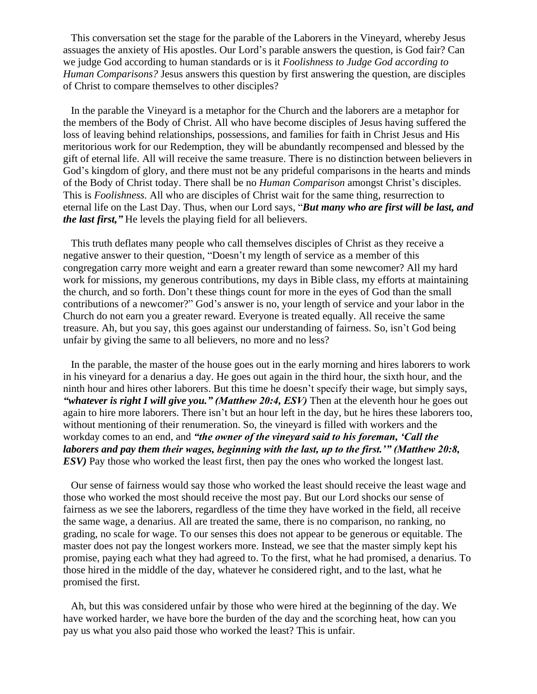This conversation set the stage for the parable of the Laborers in the Vineyard, whereby Jesus assuages the anxiety of His apostles. Our Lord's parable answers the question, is God fair? Can we judge God according to human standards or is it *Foolishness to Judge God according to Human Comparisons?* Jesus answers this question by first answering the question, are disciples of Christ to compare themselves to other disciples?

In the parable the Vineyard is a metaphor for the Church and the laborers are a metaphor for the members of the Body of Christ. All who have become disciples of Jesus having suffered the loss of leaving behind relationships, possessions, and families for faith in Christ Jesus and His meritorious work for our Redemption, they will be abundantly recompensed and blessed by the gift of eternal life. All will receive the same treasure. There is no distinction between believers in God's kingdom of glory, and there must not be any prideful comparisons in the hearts and minds of the Body of Christ today. There shall be no *Human Comparison* amongst Christ's disciples. This is *Foolishness.* All who are disciples of Christ wait for the same thing, resurrection to eternal life on the Last Day. Thus, when our Lord says, "*But many who are first will be last, and the last first,"* He levels the playing field for all believers.

This truth deflates many people who call themselves disciples of Christ as they receive a negative answer to their question, "Doesn't my length of service as a member of this congregation carry more weight and earn a greater reward than some newcomer? All my hard work for missions, my generous contributions, my days in Bible class, my efforts at maintaining the church, and so forth. Don't these things count for more in the eyes of God than the small contributions of a newcomer?" God's answer is no, your length of service and your labor in the Church do not earn you a greater reward. Everyone is treated equally. All receive the same treasure. Ah, but you say, this goes against our understanding of fairness. So, isn't God being unfair by giving the same to all believers, no more and no less?

In the parable, the master of the house goes out in the early morning and hires laborers to work in his vineyard for a denarius a day. He goes out again in the third hour, the sixth hour, and the ninth hour and hires other laborers. But this time he doesn't specify their wage, but simply says, *"whatever is right I will give you." (Matthew 20:4, ESV)* Then at the eleventh hour he goes out again to hire more laborers. There isn't but an hour left in the day, but he hires these laborers too, without mentioning of their renumeration. So, the vineyard is filled with workers and the workday comes to an end, and *"the owner of the vineyard said to his foreman, 'Call the laborers and pay them their wages, beginning with the last, up to the first.'" (Matthew 20:8, ESV)* Pay those who worked the least first, then pay the ones who worked the longest last.

Our sense of fairness would say those who worked the least should receive the least wage and those who worked the most should receive the most pay. But our Lord shocks our sense of fairness as we see the laborers, regardless of the time they have worked in the field, all receive the same wage, a denarius. All are treated the same, there is no comparison, no ranking, no grading, no scale for wage. To our senses this does not appear to be generous or equitable. The master does not pay the longest workers more. Instead, we see that the master simply kept his promise, paying each what they had agreed to. To the first, what he had promised, a denarius. To those hired in the middle of the day, whatever he considered right, and to the last, what he promised the first.

Ah, but this was considered unfair by those who were hired at the beginning of the day. We have worked harder, we have bore the burden of the day and the scorching heat, how can you pay us what you also paid those who worked the least? This is unfair.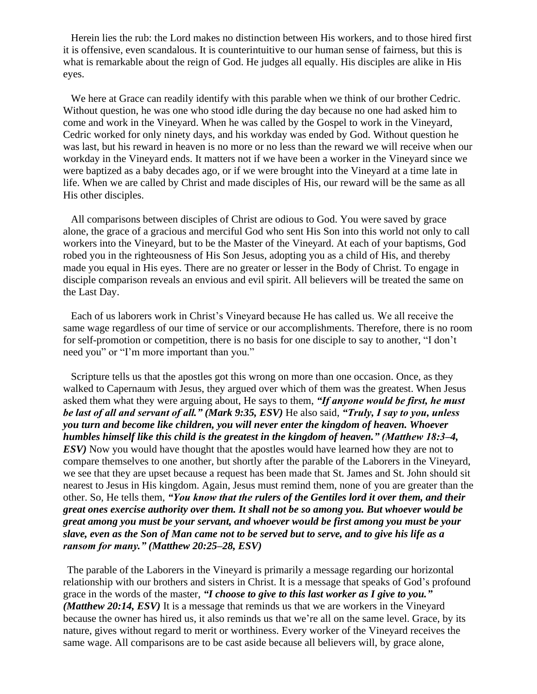Herein lies the rub: the Lord makes no distinction between His workers, and to those hired first it is offensive, even scandalous. It is counterintuitive to our human sense of fairness, but this is what is remarkable about the reign of God. He judges all equally. His disciples are alike in His eyes.

We here at Grace can readily identify with this parable when we think of our brother Cedric. Without question, he was one who stood idle during the day because no one had asked him to come and work in the Vineyard. When he was called by the Gospel to work in the Vineyard, Cedric worked for only ninety days, and his workday was ended by God. Without question he was last, but his reward in heaven is no more or no less than the reward we will receive when our workday in the Vineyard ends. It matters not if we have been a worker in the Vineyard since we were baptized as a baby decades ago, or if we were brought into the Vineyard at a time late in life. When we are called by Christ and made disciples of His, our reward will be the same as all His other disciples.

All comparisons between disciples of Christ are odious to God. You were saved by grace alone, the grace of a gracious and merciful God who sent His Son into this world not only to call workers into the Vineyard, but to be the Master of the Vineyard. At each of your baptisms, God robed you in the righteousness of His Son Jesus, adopting you as a child of His, and thereby made you equal in His eyes. There are no greater or lesser in the Body of Christ. To engage in disciple comparison reveals an envious and evil spirit. All believers will be treated the same on the Last Day.

Each of us laborers work in Christ's Vineyard because He has called us. We all receive the same wage regardless of our time of service or our accomplishments. Therefore, there is no room for self-promotion or competition, there is no basis for one disciple to say to another, "I don't need you" or "I'm more important than you."

Scripture tells us that the apostles got this wrong on more than one occasion. Once, as they walked to Capernaum with Jesus, they argued over which of them was the greatest. When Jesus asked them what they were arguing about, He says to them, *"If anyone would be first, he must be last of all and servant of all." (Mark 9:35, ESV)* He also said, *"Truly, I say to you, unless you turn and become like children, you will never enter the kingdom of heaven. Whoever humbles himself like this child is the greatest in the kingdom of heaven." (Matthew 18:3–4, ESV)* Now you would have thought that the apostles would have learned how they are not to compare themselves to one another, but shortly after the parable of the Laborers in the Vineyard, we see that they are upset because a request has been made that St. James and St. John should sit nearest to Jesus in His kingdom. Again, Jesus must remind them, none of you are greater than the other. So, He tells them, *"You know that the rulers of the Gentiles lord it over them, and their great ones exercise authority over them. It shall not be so among you. But whoever would be great among you must be your servant, and whoever would be first among you must be your slave, even as the Son of Man came not to be served but to serve, and to give his life as a ransom for many." (Matthew 20:25–28, ESV)*

The parable of the Laborers in the Vineyard is primarily a message regarding our horizontal relationship with our brothers and sisters in Christ. It is a message that speaks of God's profound grace in the words of the master, *"I choose to give to this last worker as I give to you." (Matthew 20:14, ESV)* It is a message that reminds us that we are workers in the Vineyard because the owner has hired us, it also reminds us that we're all on the same level. Grace, by its nature, gives without regard to merit or worthiness. Every worker of the Vineyard receives the same wage. All comparisons are to be cast aside because all believers will, by grace alone,